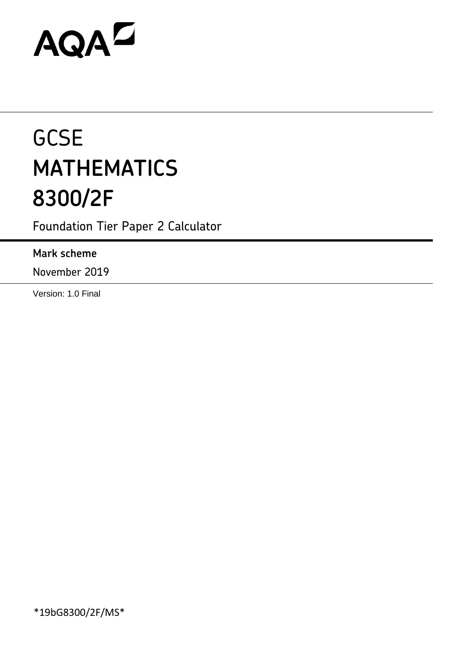# AQAZ

# **GCSE MATHEMATICS 8300/2F**

Foundation Tier Paper 2 Calculator

# **Mark scheme**

November 2019

Version: 1.0 Final

\*19bG8300/2F/MS\*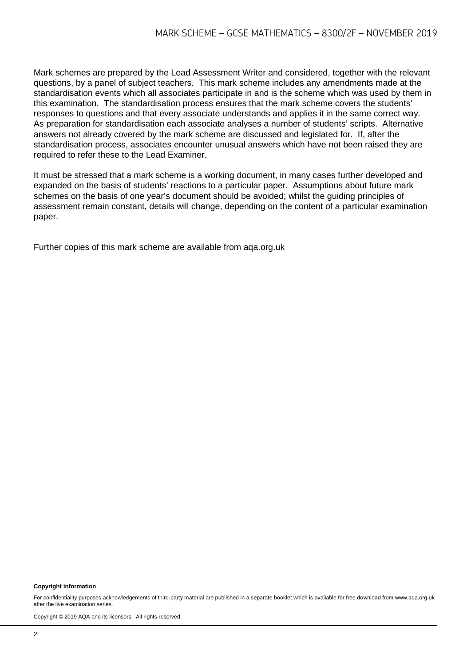Mark schemes are prepared by the Lead Assessment Writer and considered, together with the relevant questions, by a panel of subject teachers. This mark scheme includes any amendments made at the standardisation events which all associates participate in and is the scheme which was used by them in this examination. The standardisation process ensures that the mark scheme covers the students' responses to questions and that every associate understands and applies it in the same correct way. As preparation for standardisation each associate analyses a number of students' scripts. Alternative answers not already covered by the mark scheme are discussed and legislated for. If, after the standardisation process, associates encounter unusual answers which have not been raised they are required to refer these to the Lead Examiner.

It must be stressed that a mark scheme is a working document, in many cases further developed and expanded on the basis of students' reactions to a particular paper. Assumptions about future mark schemes on the basis of one year's document should be avoided; whilst the guiding principles of assessment remain constant, details will change, depending on the content of a particular examination paper.

Further copies of this mark scheme are available from aqa.org.uk

#### **Copyright information**

For confidentiality purposes acknowledgements of third-party material are published in a separate booklet which is available for free download from www.aga.org.uk after the live examination series.

Copyright © 2019 AQA and its licensors. All rights reserved.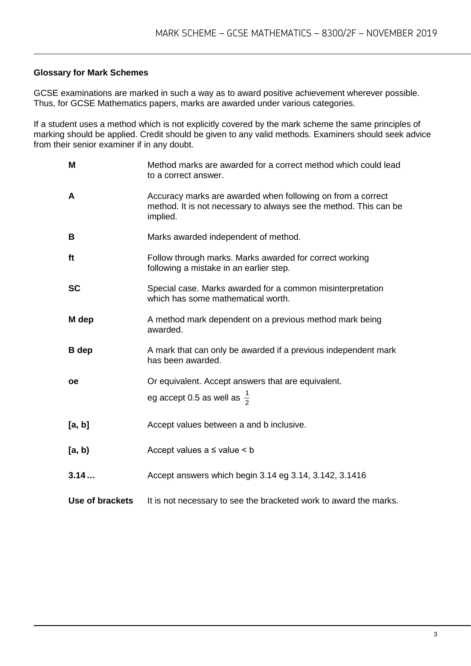#### **Glossary for Mark Schemes**

GCSE examinations are marked in such a way as to award positive achievement wherever possible. Thus, for GCSE Mathematics papers, marks are awarded under various categories.

If a student uses a method which is not explicitly covered by the mark scheme the same principles of marking should be applied. Credit should be given to any valid methods. Examiners should seek advice from their senior examiner if in any doubt.

| M               | Method marks are awarded for a correct method which could lead<br>to a correct answer.                                                       |
|-----------------|----------------------------------------------------------------------------------------------------------------------------------------------|
| $\mathsf{A}$    | Accuracy marks are awarded when following on from a correct<br>method. It is not necessary to always see the method. This can be<br>implied. |
| B               | Marks awarded independent of method.                                                                                                         |
| ft              | Follow through marks. Marks awarded for correct working<br>following a mistake in an earlier step.                                           |
| <b>SC</b>       | Special case. Marks awarded for a common misinterpretation<br>which has some mathematical worth.                                             |
| M dep           | A method mark dependent on a previous method mark being<br>awarded.                                                                          |
| <b>B</b> dep    | A mark that can only be awarded if a previous independent mark<br>has been awarded.                                                          |
| <b>oe</b>       | Or equivalent. Accept answers that are equivalent.                                                                                           |
|                 | eg accept 0.5 as well as $\frac{1}{2}$                                                                                                       |
| [a, b]          | Accept values between a and b inclusive.                                                                                                     |
| [a, b)          | Accept values $a \leq$ value $\leq b$                                                                                                        |
| 3.14            | Accept answers which begin 3.14 eg 3.14, 3.142, 3.1416                                                                                       |
| Use of brackets | It is not necessary to see the bracketed work to award the marks.                                                                            |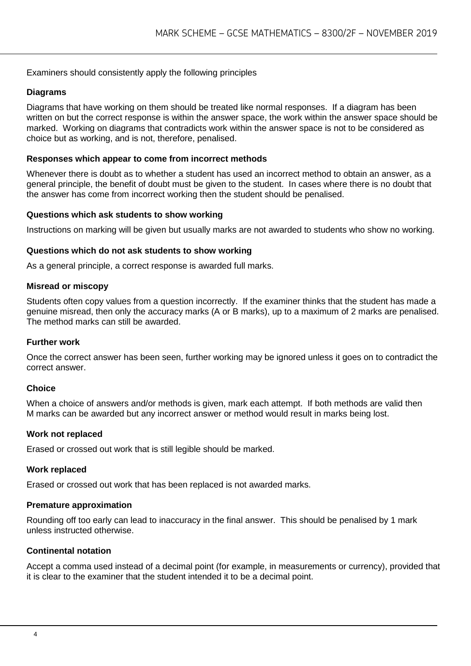#### Examiners should consistently apply the following principles

#### **Diagrams**

Diagrams that have working on them should be treated like normal responses. If a diagram has been written on but the correct response is within the answer space, the work within the answer space should be marked. Working on diagrams that contradicts work within the answer space is not to be considered as choice but as working, and is not, therefore, penalised.

#### **Responses which appear to come from incorrect methods**

Whenever there is doubt as to whether a student has used an incorrect method to obtain an answer, as a general principle, the benefit of doubt must be given to the student. In cases where there is no doubt that the answer has come from incorrect working then the student should be penalised.

#### **Questions which ask students to show working**

Instructions on marking will be given but usually marks are not awarded to students who show no working.

#### **Questions which do not ask students to show working**

As a general principle, a correct response is awarded full marks.

#### **Misread or miscopy**

Students often copy values from a question incorrectly. If the examiner thinks that the student has made a genuine misread, then only the accuracy marks (A or B marks), up to a maximum of 2 marks are penalised. The method marks can still be awarded.

#### **Further work**

Once the correct answer has been seen, further working may be ignored unless it goes on to contradict the correct answer.

#### **Choice**

When a choice of answers and/or methods is given, mark each attempt. If both methods are valid then M marks can be awarded but any incorrect answer or method would result in marks being lost.

#### **Work not replaced**

Erased or crossed out work that is still legible should be marked.

#### **Work replaced**

Erased or crossed out work that has been replaced is not awarded marks.

#### **Premature approximation**

Rounding off too early can lead to inaccuracy in the final answer. This should be penalised by 1 mark unless instructed otherwise.

#### **Continental notation**

Accept a comma used instead of a decimal point (for example, in measurements or currency), provided that it is clear to the examiner that the student intended it to be a decimal point.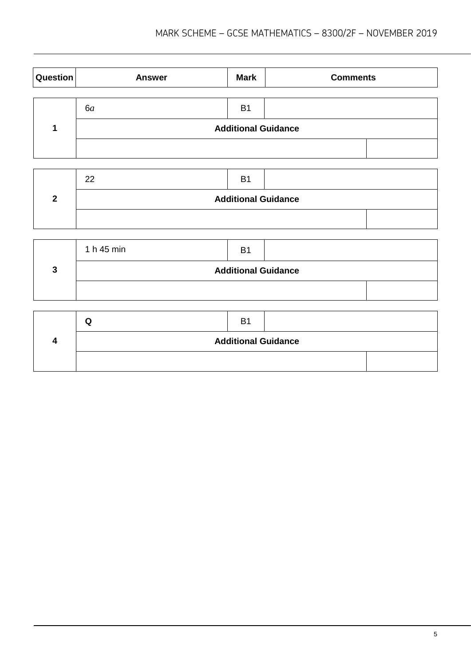| Question | <b>Answer</b> | <b>Mark</b>                | <b>Comments</b> |  |
|----------|---------------|----------------------------|-----------------|--|
|          |               |                            |                 |  |
|          | 6a            | B <sub>1</sub>             |                 |  |
|          |               | <b>Additional Guidance</b> |                 |  |
|          |               |                            |                 |  |

| 22                         | B1 |  |  |
|----------------------------|----|--|--|
| <b>Additional Guidance</b> |    |  |  |
|                            |    |  |  |

| 1 h 45 min                 | B <sub>1</sub> |  |  |
|----------------------------|----------------|--|--|
| <b>Additional Guidance</b> |                |  |  |
|                            |                |  |  |

| ແ                          | B |  |  |
|----------------------------|---|--|--|
| <b>Additional Guidance</b> |   |  |  |
|                            |   |  |  |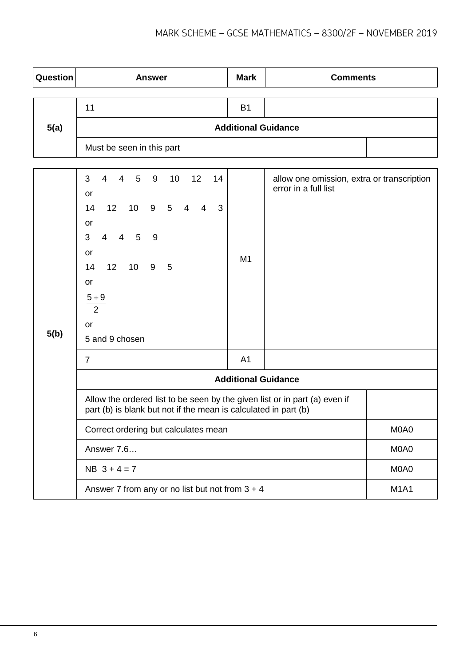| Question | <b>Answer</b>                                                                                                                                                                                                                                                                                  | <b>Mark</b>                | <b>Comments</b>                                                    |             |
|----------|------------------------------------------------------------------------------------------------------------------------------------------------------------------------------------------------------------------------------------------------------------------------------------------------|----------------------------|--------------------------------------------------------------------|-------------|
|          | 11                                                                                                                                                                                                                                                                                             | <b>B1</b>                  |                                                                    |             |
| 5(a)     |                                                                                                                                                                                                                                                                                                | <b>Additional Guidance</b> |                                                                    |             |
|          | Must be seen in this part                                                                                                                                                                                                                                                                      |                            |                                                                    |             |
|          |                                                                                                                                                                                                                                                                                                |                            |                                                                    |             |
|          | 3<br>$\overline{4}$<br>9<br>10<br>12<br>$\overline{4}$<br>5 <sub>5</sub><br>14<br>or<br>10<br>9<br>$5\phantom{.0}$<br>14<br>12<br>3<br>$\overline{4}$<br>4<br>or<br>$\overline{4}$<br>3<br>$\overline{4}$<br>5<br>9<br>or<br>14<br>12<br>10<br>9<br>5<br>or<br>$5 + 9$<br>$\overline{2}$<br>or | M <sub>1</sub>             | allow one omission, extra or transcription<br>error in a full list |             |
| 5(b)     | 5 and 9 chosen                                                                                                                                                                                                                                                                                 |                            |                                                                    |             |
|          | $\overline{7}$                                                                                                                                                                                                                                                                                 | A <sub>1</sub>             |                                                                    |             |
|          |                                                                                                                                                                                                                                                                                                | <b>Additional Guidance</b> |                                                                    |             |
|          | Allow the ordered list to be seen by the given list or in part (a) even if<br>part (b) is blank but not if the mean is calculated in part (b)                                                                                                                                                  |                            |                                                                    |             |
|          | Correct ordering but calculates mean                                                                                                                                                                                                                                                           |                            |                                                                    | M0A0        |
|          | Answer 7.6                                                                                                                                                                                                                                                                                     |                            |                                                                    | M0A0        |
|          | $NB$ 3 + 4 = 7                                                                                                                                                                                                                                                                                 |                            |                                                                    | M0A0        |
|          | Answer 7 from any or no list but not from $3 + 4$                                                                                                                                                                                                                                              |                            |                                                                    | <b>M1A1</b> |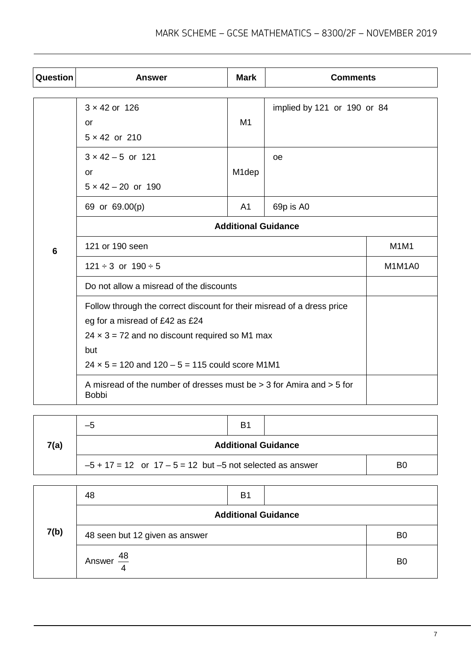| Question | <b>Answer</b>                                                                            | <b>Mark</b>        | <b>Comments</b>             |        |
|----------|------------------------------------------------------------------------------------------|--------------------|-----------------------------|--------|
|          | $3 \times 42$ or 126                                                                     |                    | implied by 121 or 190 or 84 |        |
|          | <b>or</b>                                                                                | M <sub>1</sub>     |                             |        |
|          | $5 \times 42$ or 210                                                                     |                    |                             |        |
|          | $3 \times 42 - 5$ or 121                                                                 |                    | oe                          |        |
|          | <b>or</b>                                                                                | M <sub>1</sub> dep |                             |        |
|          | $5 \times 42 - 20$ or 190                                                                |                    |                             |        |
|          | 69 or 69.00(p)                                                                           | A <sub>1</sub>     | 69p is A0                   |        |
|          | <b>Additional Guidance</b>                                                               |                    |                             |        |
| 6        | 121 or 190 seen                                                                          |                    |                             | M1M1   |
|          | $121 \div 3$ or $190 \div 5$                                                             |                    |                             | M1M1A0 |
|          | Do not allow a misread of the discounts                                                  |                    |                             |        |
|          | Follow through the correct discount for their misread of a dress price                   |                    |                             |        |
|          | eg for a misread of £42 as £24                                                           |                    |                             |        |
|          | $24 \times 3 = 72$ and no discount required so M1 max                                    |                    |                             |        |
|          | but                                                                                      |                    |                             |        |
|          | $24 \times 5 = 120$ and $120 - 5 = 115$ could score M1M1                                 |                    |                             |        |
|          | A misread of the number of dresses must be $>$ 3 for Amira and $>$ 5 for<br><b>Bobbi</b> |                    |                             |        |

|      | -5                                                              | B <sub>1</sub> |  |                |
|------|-----------------------------------------------------------------|----------------|--|----------------|
| 7(a) | <b>Additional Guidance</b>                                      |                |  |                |
|      | $-5 + 17 = 12$ or $17 - 5 = 12$ but $-5$ not selected as answer |                |  | B <sub>0</sub> |

|      | 48                             | <b>B1</b>                  |                |
|------|--------------------------------|----------------------------|----------------|
|      |                                | <b>Additional Guidance</b> |                |
| 7(b) | 48 seen but 12 given as answer |                            | B <sub>0</sub> |
|      | $\frac{48}{1}$<br>Answer       |                            | B <sub>0</sub> |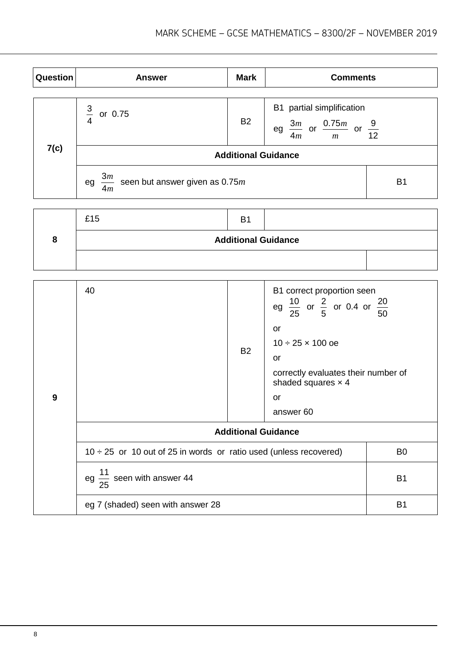| <b>Question</b> | <b>Answer</b>                                             | <b>Mark</b> | <b>Comments</b>                                                                        |                |
|-----------------|-----------------------------------------------------------|-------------|----------------------------------------------------------------------------------------|----------------|
| 7(c)            | $\frac{3}{4}$<br>or 0.75                                  | <b>B2</b>   | B1 partial simplification<br>eg $\frac{3m}{4m}$ or $\frac{0.75m}{m}$ or $\frac{9}{12}$ |                |
|                 | <b>Additional Guidance</b>                                |             |                                                                                        |                |
|                 | $\frac{3m}{4}$ seen but answer given as 0.75m<br>eg<br>4m |             |                                                                                        | B <sub>1</sub> |

| £15                        | B |  |  |  |  |
|----------------------------|---|--|--|--|--|
| <b>Additional Guidance</b> |   |  |  |  |  |
|                            |   |  |  |  |  |

| 9 | 40                                                                     | <b>B2</b>                  | B1 correct proportion seen<br>eg $\frac{10}{25}$ or $\frac{2}{5}$ or 0.4 or $\frac{20}{50}$<br>or<br>$10 \div 25 \times 100$ oe<br>or<br>correctly evaluates their number of<br>shaded squares $\times$ 4<br>or<br>answer <sub>60</sub> |                |
|---|------------------------------------------------------------------------|----------------------------|-----------------------------------------------------------------------------------------------------------------------------------------------------------------------------------------------------------------------------------------|----------------|
|   |                                                                        | <b>Additional Guidance</b> |                                                                                                                                                                                                                                         |                |
|   | $10 \div 25$ or 10 out of 25 in words or ratio used (unless recovered) |                            |                                                                                                                                                                                                                                         | B <sub>0</sub> |
|   | eg $\frac{11}{25}$ seen with answer 44                                 |                            |                                                                                                                                                                                                                                         | <b>B1</b>      |
|   | eg 7 (shaded) seen with answer 28                                      |                            |                                                                                                                                                                                                                                         | <b>B1</b>      |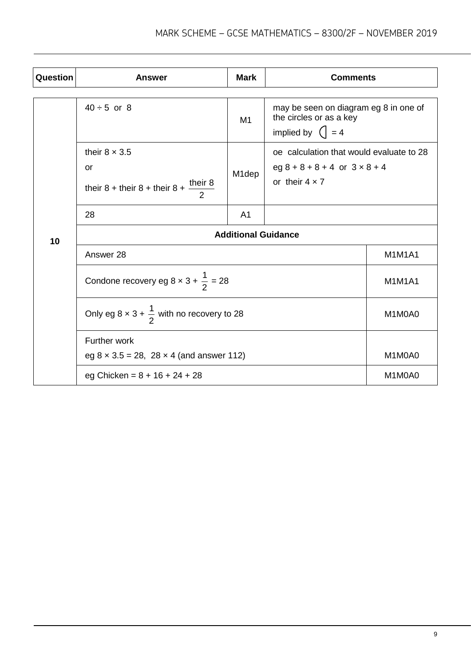| Question | Answer                                                                                  | <b>Mark</b>        | <b>Comments</b>                                                                                             |        |  |
|----------|-----------------------------------------------------------------------------------------|--------------------|-------------------------------------------------------------------------------------------------------------|--------|--|
|          | $40 \div 5$ or 8                                                                        | M1                 | may be seen on diagram eg 8 in one of<br>the circles or as a key<br>implied by $\left( \right  = 4$         |        |  |
|          | their $8 \times 3.5$<br>or<br>their 8 + their 8 + their 8 + $\frac{\text{their } 8}{2}$ | M <sub>1</sub> dep | oe calculation that would evaluate to 28<br>$eg 8 + 8 + 8 + 4$ or $3 \times 8 + 4$<br>or their $4 \times 7$ |        |  |
|          | 28                                                                                      | A <sub>1</sub>     |                                                                                                             |        |  |
| 10       | <b>Additional Guidance</b>                                                              |                    |                                                                                                             |        |  |
|          | Answer 28                                                                               | <b>M1M1A1</b>      |                                                                                                             |        |  |
|          | Condone recovery eg 8 x 3 + $\frac{1}{2}$ = 28                                          | M1M1A1             |                                                                                                             |        |  |
|          | Only eg $8 \times 3 + \frac{1}{2}$ with no recovery to 28                               | M1M0A0             |                                                                                                             |        |  |
|          | Further work                                                                            |                    |                                                                                                             |        |  |
|          | eg $8 \times 3.5 = 28$ , $28 \times 4$ (and answer 112)                                 | M1M0A0             |                                                                                                             |        |  |
|          | eg Chicken = $8 + 16 + 24 + 28$                                                         |                    |                                                                                                             | M1M0A0 |  |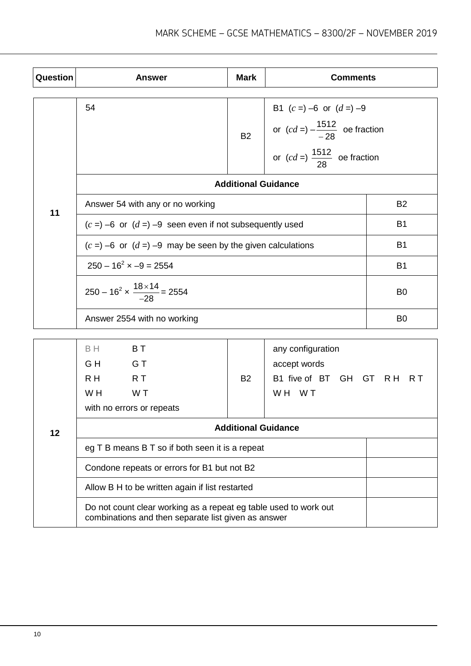| Question | <b>Answer</b>                                                                                                           | <b>Mark</b>                                     | <b>Comments</b>                                                                                                     |                |  |  |
|----------|-------------------------------------------------------------------------------------------------------------------------|-------------------------------------------------|---------------------------------------------------------------------------------------------------------------------|----------------|--|--|
|          | 54                                                                                                                      | <b>B2</b>                                       | B1 $(c =) -6$ or $(d =) -9$<br>or $(cd =) -\frac{1512}{-28}$ oe fraction<br>or $(cd = )\frac{1512}{28}$ oe fraction |                |  |  |
|          |                                                                                                                         | <b>Additional Guidance</b>                      |                                                                                                                     |                |  |  |
| 11       | Answer 54 with any or no working                                                                                        |                                                 |                                                                                                                     | B <sub>2</sub> |  |  |
|          | $(c =) -6$ or $(d =) -9$ seen even if not subsequently used                                                             |                                                 |                                                                                                                     | B <sub>1</sub> |  |  |
|          | $(c =) -6$ or $(d =) -9$ may be seen by the given calculations                                                          |                                                 |                                                                                                                     | <b>B1</b>      |  |  |
|          | $250 - 16^2 \times -9 = 2554$                                                                                           |                                                 |                                                                                                                     | <b>B1</b>      |  |  |
|          | $250 - 16^2 \times \frac{18 \times 14}{-28} = 2554$                                                                     |                                                 |                                                                                                                     | B <sub>0</sub> |  |  |
|          | Answer 2554 with no working                                                                                             |                                                 |                                                                                                                     | B <sub>0</sub> |  |  |
|          | <b>BT</b><br>B H<br>GH<br><b>G</b> T<br>R <sub>H</sub><br>R T<br>W <sub>H</sub><br>W T<br>with no errors or repeats     | <b>B2</b>                                       | any configuration<br>accept words<br>B1 five of BT GH GT<br>WH WT                                                   | R H<br>R T     |  |  |
| 12       | <b>Additional Guidance</b>                                                                                              |                                                 |                                                                                                                     |                |  |  |
|          | eg T B means B T so if both seen it is a repeat                                                                         |                                                 |                                                                                                                     |                |  |  |
|          | Condone repeats or errors for B1 but not B2                                                                             |                                                 |                                                                                                                     |                |  |  |
|          |                                                                                                                         | Allow B H to be written again if list restarted |                                                                                                                     |                |  |  |
|          | Do not count clear working as a repeat eg table used to work out<br>combinations and then separate list given as answer |                                                 |                                                                                                                     |                |  |  |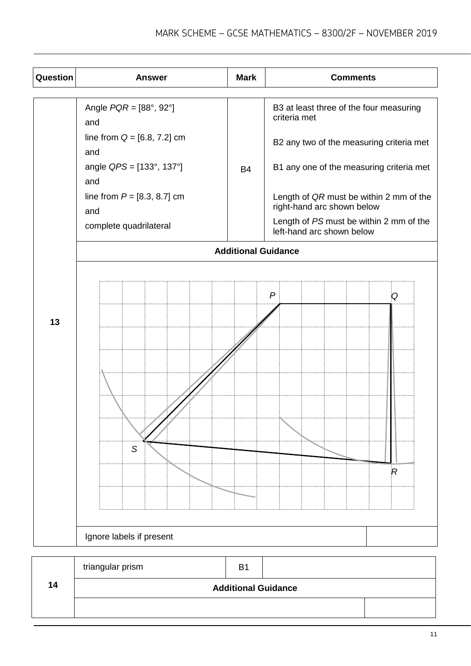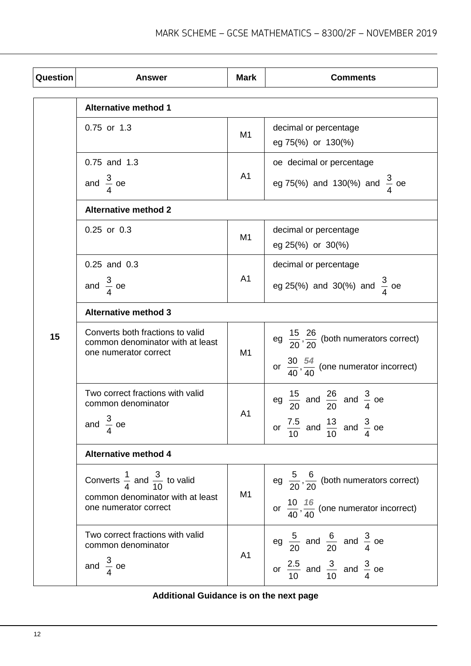| <b>Question</b> | <b>Answer</b>                                                                                 | <b>Mark</b>    | <b>Comments</b>                                                |  |
|-----------------|-----------------------------------------------------------------------------------------------|----------------|----------------------------------------------------------------|--|
|                 | <b>Alternative method 1</b>                                                                   |                |                                                                |  |
|                 | 0.75 or 1.3                                                                                   | M <sub>1</sub> | decimal or percentage<br>eg 75(%) or 130(%)                    |  |
|                 | 0.75 and 1.3                                                                                  |                | oe decimal or percentage                                       |  |
|                 | and $\frac{3}{4}$ oe                                                                          | A <sub>1</sub> | eg 75(%) and 130(%) and $\frac{3}{4}$ oe                       |  |
|                 | <b>Alternative method 2</b>                                                                   |                |                                                                |  |
|                 | $0.25$ or $0.3$                                                                               | M <sub>1</sub> | decimal or percentage<br>eg 25(%) or 30(%)                     |  |
|                 | $0.25$ and $0.3$                                                                              |                | decimal or percentage                                          |  |
|                 | and $\frac{3}{4}$ oe                                                                          | A <sub>1</sub> | eg 25(%) and 30(%) and $\frac{3}{4}$ oe                        |  |
|                 | <b>Alternative method 3</b>                                                                   |                |                                                                |  |
| 15              | Converts both fractions to valid<br>common denominator with at least<br>one numerator correct | M <sub>1</sub> | eg $\frac{15}{20}$ , $\frac{26}{20}$ (both numerators correct) |  |
|                 |                                                                                               |                | or $\frac{30}{40}, \frac{54}{40}$ (one numerator incorrect)    |  |
|                 | Two correct fractions with valid<br>common denominator                                        | A <sub>1</sub> | eg $\frac{15}{20}$ and $\frac{26}{20}$ and $\frac{3}{4}$ oe    |  |
|                 | and $\frac{3}{4}$ oe                                                                          |                | or $\frac{7.5}{10}$ and $\frac{13}{10}$ and $\frac{3}{4}$ oe   |  |
|                 | <b>Alternative method 4</b>                                                                   |                |                                                                |  |
|                 | Converts $\frac{1}{4}$ and $\frac{3}{10}$ to valid                                            | M <sub>1</sub> | eg $\frac{5}{20}$ , $\frac{6}{20}$ (both numerators correct)   |  |
|                 | common denominator with at least<br>one numerator correct                                     |                | or $\frac{10}{40}$ , $\frac{16}{40}$ (one numerator incorrect) |  |
|                 | Two correct fractions with valid<br>common denominator                                        | A <sub>1</sub> | eg $\frac{5}{20}$ and $\frac{6}{20}$ and $\frac{3}{4}$ oe      |  |
|                 | and $\frac{3}{4}$ oe                                                                          |                | or $\frac{2.5}{10}$ and $\frac{3}{10}$ and $\frac{3}{4}$ oe    |  |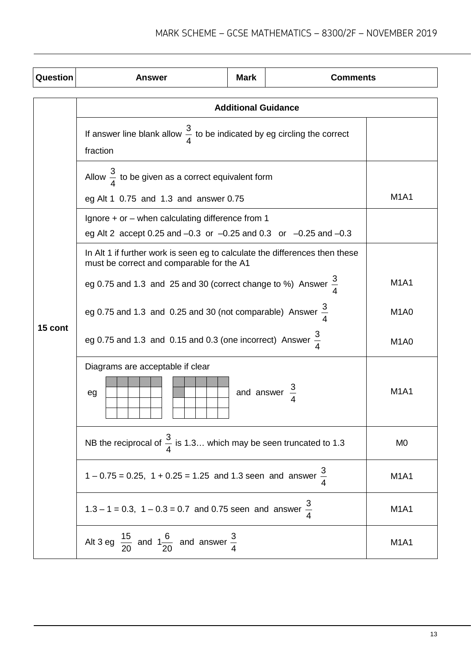| Question | <b>Answer</b>                                                                                                                    | <b>Mark</b>                   | <b>Comments</b> |                               |  |  |
|----------|----------------------------------------------------------------------------------------------------------------------------------|-------------------------------|-----------------|-------------------------------|--|--|
|          | <b>Additional Guidance</b>                                                                                                       |                               |                 |                               |  |  |
|          | If answer line blank allow $\frac{3}{4}$ to be indicated by eg circling the correct<br>fraction                                  |                               |                 |                               |  |  |
|          | Allow $\frac{3}{4}$ to be given as a correct equivalent form                                                                     |                               |                 |                               |  |  |
|          | eg Alt 1 0.75 and 1.3 and answer 0.75                                                                                            |                               |                 | <b>M1A1</b>                   |  |  |
|          | Ignore $+$ or $-$ when calculating difference from 1<br>eg Alt 2 accept 0.25 and $-0.3$ or $-0.25$ and 0.3 or $-0.25$ and $-0.3$ |                               |                 |                               |  |  |
|          | In Alt 1 if further work is seen eg to calculate the differences then these<br>must be correct and comparable for the A1         |                               |                 |                               |  |  |
|          | eg 0.75 and 1.3 and 25 and 30 (correct change to %) Answer $\frac{3}{4}$                                                         | <b>M1A1</b>                   |                 |                               |  |  |
|          | eg 0.75 and 1.3 and 0.25 and 30 (not comparable) Answer $\frac{3}{4}$                                                            | M <sub>1</sub> A <sub>0</sub> |                 |                               |  |  |
| 15 cont  | eg 0.75 and 1.3 and 0.15 and 0.3 (one incorrect) Answer $\frac{3}{7}$                                                            | M <sub>1</sub> A <sub>0</sub> |                 |                               |  |  |
|          | Diagrams are acceptable if clear                                                                                                 |                               |                 |                               |  |  |
|          | and answer<br>eg                                                                                                                 |                               |                 | <b>M1A1</b>                   |  |  |
|          | NB the reciprocal of $\frac{3}{4}$ is 1.3 which may be seen truncated to 1.3                                                     | M <sub>0</sub>                |                 |                               |  |  |
|          | $1 - 0.75 = 0.25$ , $1 + 0.25 = 1.25$ and 1.3 seen and answer $\frac{3}{4}$                                                      |                               |                 | <b>M1A1</b>                   |  |  |
|          | 1.3 – 1 = 0.3, 1 – 0.3 = 0.7 and 0.75 seen and answer $\frac{3}{4}$                                                              |                               |                 | M <sub>1</sub> A <sub>1</sub> |  |  |
|          | Alt 3 eg $\frac{15}{20}$ and $1\frac{6}{20}$ and answer $\frac{3}{4}$                                                            |                               |                 | M <sub>1</sub> A <sub>1</sub> |  |  |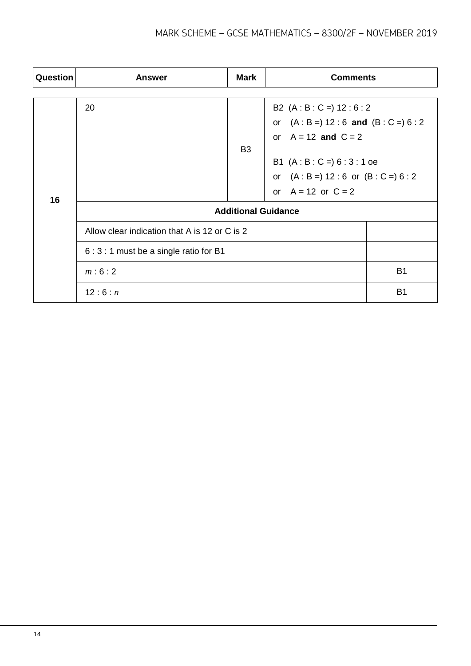| Question | <b>Answer</b>                                 | <b>Mark</b>    | <b>Comments</b>                                           |           |  |
|----------|-----------------------------------------------|----------------|-----------------------------------------------------------|-----------|--|
|          |                                               |                |                                                           |           |  |
|          | 20                                            |                | B2 $(A:B:C=) 12:6:2$<br>or $(A:B=) 12:6$ and $(B:C=) 6:2$ |           |  |
|          |                                               |                |                                                           |           |  |
|          |                                               |                | or $A = 12$ and $C = 2$                                   |           |  |
|          |                                               | B <sub>3</sub> |                                                           |           |  |
|          |                                               |                | B1 $(A : B : C =) 6 : 3 : 1$ oe                           |           |  |
|          |                                               |                | or $(A : B =) 12 : 6$ or $(B : C =) 6 : 2$                |           |  |
| 16       |                                               |                | or $A = 12$ or $C = 2$                                    |           |  |
|          | <b>Additional Guidance</b>                    |                |                                                           |           |  |
|          | Allow clear indication that A is 12 or C is 2 |                |                                                           |           |  |
|          | 6 : 3 : 1 must be a single ratio for B1       |                |                                                           |           |  |
|          | m:6:2                                         |                |                                                           | <b>B1</b> |  |
|          | 12:6:n                                        |                |                                                           | <b>B1</b> |  |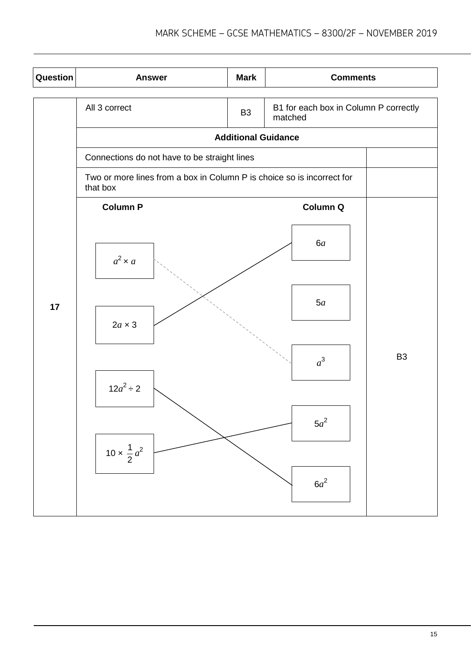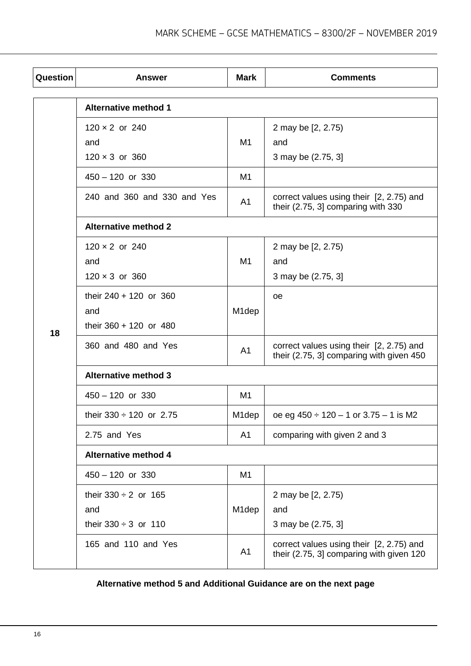| Question | <b>Answer</b>                                                 | <b>Mark</b>        | <b>Comments</b>                                                                      |  |
|----------|---------------------------------------------------------------|--------------------|--------------------------------------------------------------------------------------|--|
|          | <b>Alternative method 1</b>                                   |                    |                                                                                      |  |
|          | $120 \times 2$ or 240<br>and                                  | M1                 | 2 may be [2, 2.75)<br>and                                                            |  |
|          | $120 \times 3$ or 360<br>$450 - 120$ or 330                   | M1                 | 3 may be (2.75, 3]                                                                   |  |
|          | 240 and 360 and 330 and Yes                                   | A1                 | correct values using their [2, 2.75) and<br>their (2.75, 3] comparing with 330       |  |
|          | <b>Alternative method 2</b>                                   |                    |                                                                                      |  |
|          | $120 \times 2$ or 240<br>and<br>$120 \times 3$ or 360         | M1                 | 2 may be [2, 2.75)<br>and<br>3 may be (2.75, 3]                                      |  |
| 18       | their 240 + 120 or 360<br>and<br>their 360 + 120 or 480       | M <sub>1</sub> dep | <sub>oe</sub>                                                                        |  |
|          | 360 and 480 and Yes                                           | A <sub>1</sub>     | correct values using their [2, 2.75) and<br>their (2.75, 3] comparing with given 450 |  |
|          | <b>Alternative method 3</b>                                   |                    |                                                                                      |  |
|          | $450 - 120$ or 330                                            | M1                 |                                                                                      |  |
|          | their $330 \div 120$ or 2.75                                  | M <sub>1</sub> dep | oe eg $450 \div 120 - 1$ or $3.75 - 1$ is M2                                         |  |
|          | 2.75 and Yes                                                  | A1                 | comparing with given 2 and 3                                                         |  |
|          | <b>Alternative method 4</b>                                   |                    |                                                                                      |  |
|          | $450 - 120$ or 330                                            | M1                 |                                                                                      |  |
|          | their $330 \div 2$ or 165<br>and<br>their $330 \div 3$ or 110 | M <sub>1</sub> dep | 2 may be [2, 2.75)<br>and<br>3 may be (2.75, 3]                                      |  |
|          | 165 and 110 and Yes                                           | A1                 | correct values using their [2, 2.75) and<br>their (2.75, 3] comparing with given 120 |  |

### **Alternative method 5 and Additional Guidance are on the next page**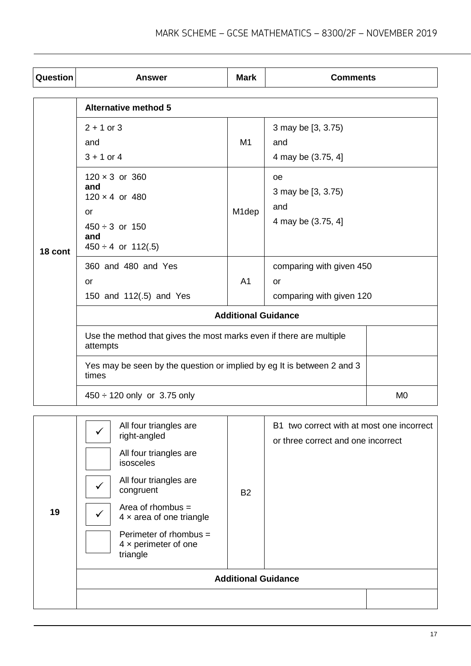| Question | <b>Answer</b>                                                                                                        | <b>Mark</b>        | <b>Comments</b>                                            |                |  |  |
|----------|----------------------------------------------------------------------------------------------------------------------|--------------------|------------------------------------------------------------|----------------|--|--|
|          | <b>Alternative method 5</b>                                                                                          |                    |                                                            |                |  |  |
|          | $2 + 1$ or 3<br>and<br>$3 + 1$ or 4                                                                                  | M1                 | 3 may be [3, 3.75)<br>and<br>4 may be (3.75, 4]            |                |  |  |
| 18 cont  | $120 \times 3$ or 360<br>and<br>$120 \times 4$ or 480<br>or<br>$450 \div 3$ or 150<br>and<br>$450 \div 4$ or 112(.5) | M <sub>1</sub> dep | oe<br>3 may be [3, 3.75)<br>and<br>4 may be (3.75, 4)      |                |  |  |
|          | 360 and 480 and Yes<br>or<br>150 and 112(.5) and Yes                                                                 | A <sub>1</sub>     | comparing with given 450<br>or<br>comparing with given 120 |                |  |  |
|          | <b>Additional Guidance</b>                                                                                           |                    |                                                            |                |  |  |
|          | Use the method that gives the most marks even if there are multiple<br>attempts                                      |                    |                                                            |                |  |  |
|          | Yes may be seen by the question or implied by eg It is between 2 and 3<br>times                                      |                    |                                                            |                |  |  |
|          | $450 \div 120$ only or 3.75 only                                                                                     |                    |                                                            | M <sub>0</sub> |  |  |

| 19 | All four triangles are<br>right-angled<br>All four triangles are<br>isosceles<br>All four triangles are<br>✔<br>congruent<br>Area of rhombus $=$<br>$4 \times$ area of one triangle<br>Perimeter of rhombus =<br>$4 \times$ perimeter of one<br>triangle | B <sub>2</sub>             | B1 two correct with at most one incorrect<br>or three correct and one incorrect |
|----|----------------------------------------------------------------------------------------------------------------------------------------------------------------------------------------------------------------------------------------------------------|----------------------------|---------------------------------------------------------------------------------|
|    |                                                                                                                                                                                                                                                          | <b>Additional Guidance</b> |                                                                                 |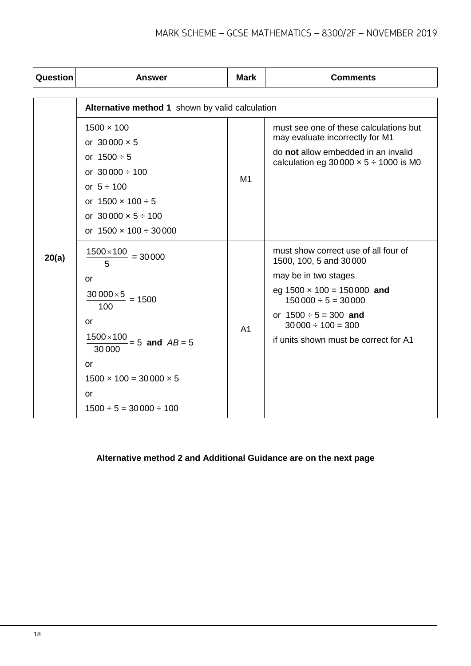| Question | <b>Answer</b>                                                                                                                                                                                                                                        | <b>Mark</b>    | <b>Comments</b>                                                                                                                                                                                                                                         |  |  |  |
|----------|------------------------------------------------------------------------------------------------------------------------------------------------------------------------------------------------------------------------------------------------------|----------------|---------------------------------------------------------------------------------------------------------------------------------------------------------------------------------------------------------------------------------------------------------|--|--|--|
|          | Alternative method 1 shown by valid calculation                                                                                                                                                                                                      |                |                                                                                                                                                                                                                                                         |  |  |  |
|          | $1500 \times 100$<br>or $30000 \times 5$<br>or $1500 \div 5$<br>or $30000 \div 100$<br>or $5 \div 100$<br>or $1500 \times 100 \div 5$<br>or $30000 \times 5 \div 100$<br>or $1500 \times 100 \div 30000$                                             | M <sub>1</sub> | must see one of these calculations but<br>may evaluate incorrectly for M1<br>do not allow embedded in an invalid<br>calculation eg $30000 \times 5 \div 1000$ is M0                                                                                     |  |  |  |
| 20(a)    | $1500\times100$<br>$= 30000$<br>5<br>or<br>$30000\times 5$<br>$= 1500$<br>100<br>or<br>$1500\times100$<br>$\frac{2}{5} = 5$ and $AB = 5$<br>30 000<br><b>or</b><br>$1500 \times 100 = 30000 \times 5$<br><b>or</b><br>$1500 \div 5 = 30000 \div 100$ | A <sub>1</sub> | must show correct use of all four of<br>1500, 100, 5 and 30000<br>may be in two stages<br>eg $1500 \times 100 = 150000$ and<br>$150000 \div 5 = 30000$<br>or $1500 \div 5 = 300$ and<br>$30000 \div 100 = 300$<br>if units shown must be correct for A1 |  |  |  |

## **Alternative method 2 and Additional Guidance are on the next page**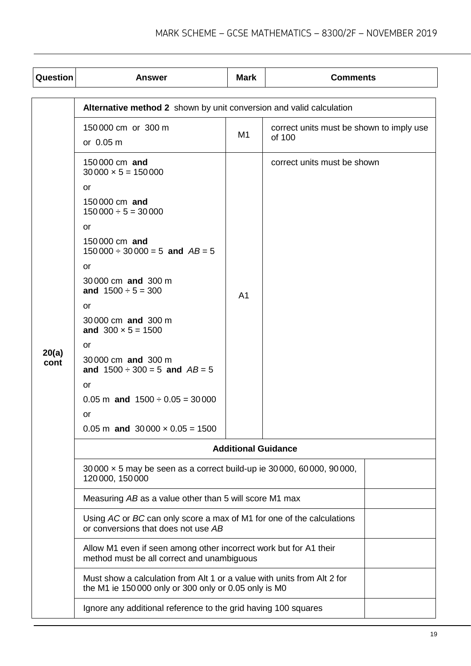| Question      | <b>Answer</b>                                                                                                                                                                                                                                                                                                                                                                                        | <b>Mark</b>    | <b>Comments</b>                                    |  |  |
|---------------|------------------------------------------------------------------------------------------------------------------------------------------------------------------------------------------------------------------------------------------------------------------------------------------------------------------------------------------------------------------------------------------------------|----------------|----------------------------------------------------|--|--|
|               | Alternative method 2 shown by unit conversion and valid calculation                                                                                                                                                                                                                                                                                                                                  |                |                                                    |  |  |
| 20(a)<br>cont | 150000 cm or 300 m<br>or 0.05 m                                                                                                                                                                                                                                                                                                                                                                      | M1             | correct units must be shown to imply use<br>of 100 |  |  |
|               | 150000 cm and<br>$30000 \times 5 = 150000$<br>or<br>150000 cm and<br>$150000 \div 5 = 30000$<br>or<br>150000 cm and<br>$150000 \div 30000 = 5$ and $AB = 5$<br>or<br>30000 cm and 300 m<br>and $1500 \div 5 = 300$<br>or<br>30000 cm and 300 m<br>and $300 \times 5 = 1500$<br>or<br>30000 cm and 300 m<br>and $1500 \div 300 = 5$ and $AB = 5$<br>or<br>$0.05$ m and $1500 \div 0.05 = 30000$<br>or | A <sub>1</sub> | correct units must be shown                        |  |  |
|               | $0.05$ m and $30000 \times 0.05 = 1500$                                                                                                                                                                                                                                                                                                                                                              |                |                                                    |  |  |
|               | <b>Additional Guidance</b>                                                                                                                                                                                                                                                                                                                                                                           |                |                                                    |  |  |
|               | 30 000 x 5 may be seen as a correct build-up ie 30 000, 60 000, 90 000,<br>120 000, 150 000                                                                                                                                                                                                                                                                                                          |                |                                                    |  |  |
|               | Measuring AB as a value other than 5 will score M1 max                                                                                                                                                                                                                                                                                                                                               |                |                                                    |  |  |
|               | Using AC or BC can only score a max of M1 for one of the calculations<br>or conversions that does not use AB                                                                                                                                                                                                                                                                                         |                |                                                    |  |  |
|               | Allow M1 even if seen among other incorrect work but for A1 their<br>method must be all correct and unambiguous                                                                                                                                                                                                                                                                                      |                |                                                    |  |  |
|               | Must show a calculation from Alt 1 or a value with units from Alt 2 for<br>the M1 ie 150 000 only or 300 only or 0.05 only is M0                                                                                                                                                                                                                                                                     |                |                                                    |  |  |
|               | Ignore any additional reference to the grid having 100 squares                                                                                                                                                                                                                                                                                                                                       |                |                                                    |  |  |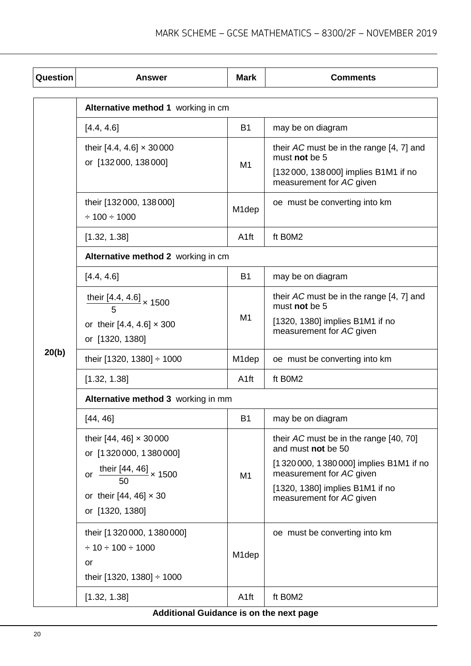| Question | <b>Answer</b>                                                                                        | <b>Mark</b>        | <b>Comments</b>                                                                                                                  |  |
|----------|------------------------------------------------------------------------------------------------------|--------------------|----------------------------------------------------------------------------------------------------------------------------------|--|
|          | Alternative method 1 working in cm                                                                   |                    |                                                                                                                                  |  |
|          | [4.4, 4.6]                                                                                           | <b>B1</b>          | may be on diagram                                                                                                                |  |
|          | their $[4.4, 4.6] \times 30000$<br>or [132000, 138000]                                               | M1                 | their AC must be in the range [4, 7] and<br>must not be 5<br>[132 000, 138 000] implies B1M1 if no<br>measurement for AC given   |  |
|          | their [132 000, 138 000]<br>$\div$ 100 $\div$ 1000                                                   | M <sub>1</sub> dep | oe must be converting into km                                                                                                    |  |
|          | [1.32, 1.38]                                                                                         | A <sub>1ft</sub>   | ft B0M2                                                                                                                          |  |
|          | Alternative method 2 working in cm                                                                   |                    |                                                                                                                                  |  |
|          | [4.4, 4.6]                                                                                           | <b>B1</b>          | may be on diagram                                                                                                                |  |
|          | their [4.4, 4.6] $\times$ 1500<br>or their [4.4, 4.6] $\times$ 300<br>or [1320, 1380]                | M <sub>1</sub>     | their AC must be in the range [4, 7] and<br>must not be 5<br>[1320, 1380] implies B1M1 if no<br>measurement for AC given         |  |
| 20(b)    | their [1320, 1380] $\div$ 1000                                                                       | M1dep              | oe must be converting into km                                                                                                    |  |
|          | [1.32, 1.38]                                                                                         | A <sub>1ft</sub>   | ft B0M2                                                                                                                          |  |
|          | Alternative method 3 working in mm                                                                   |                    |                                                                                                                                  |  |
|          | [44, 46]                                                                                             | <b>B1</b>          | may be on diagram                                                                                                                |  |
|          | their $[44, 46] \times 30000$<br>or [1320000, 1380000]                                               |                    | their AC must be in the range [40, 70]<br>and must not be 50                                                                     |  |
|          | or $\frac{\text{their }[44, 46]}{50}$ × 1500<br>or their [44, 46] $\times$ 30<br>or [1320, 1380]     | M <sub>1</sub>     | [1320000, 1380000] implies B1M1 if no<br>measurement for AC given<br>[1320, 1380] implies B1M1 if no<br>measurement for AC given |  |
|          | their [1320000, 1380000]<br>$\div$ 10 $\div$ 100 $\div$ 1000<br>or<br>their [1320, 1380] $\div$ 1000 | M <sub>1</sub> dep | oe must be converting into km                                                                                                    |  |
|          | [1.32, 1.38]                                                                                         | A <sub>1ft</sub>   | ft B0M2                                                                                                                          |  |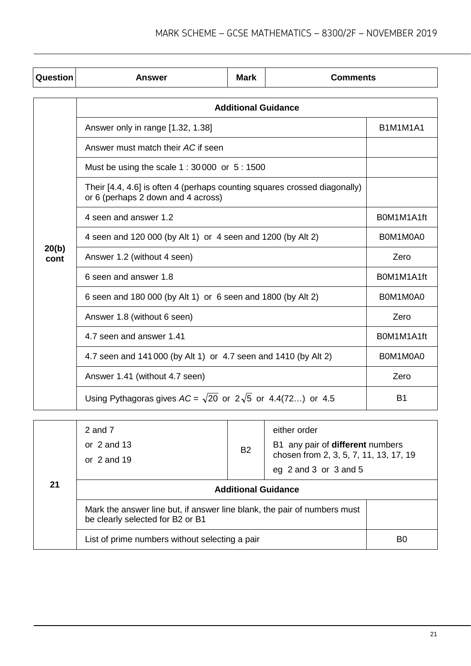| Question      | <b>Answer</b>                                                                                                   | <b>Mark</b> | <b>Comments</b> |                 |  |  |
|---------------|-----------------------------------------------------------------------------------------------------------------|-------------|-----------------|-----------------|--|--|
|               | <b>Additional Guidance</b>                                                                                      |             |                 |                 |  |  |
|               | Answer only in range [1.32, 1.38]                                                                               |             |                 | <b>B1M1M1A1</b> |  |  |
|               | Answer must match their AC if seen                                                                              |             |                 |                 |  |  |
|               | Must be using the scale 1 : 30 000 or 5 : 1500                                                                  |             |                 |                 |  |  |
|               | Their [4.4, 4.6] is often 4 (perhaps counting squares crossed diagonally)<br>or 6 (perhaps 2 down and 4 across) |             |                 |                 |  |  |
|               | 4 seen and answer 1.2                                                                                           | B0M1M1A1ft  |                 |                 |  |  |
|               | 4 seen and 120 000 (by Alt 1) or 4 seen and 1200 (by Alt 2)                                                     | B0M1M0A0    |                 |                 |  |  |
| 20(b)<br>cont | Answer 1.2 (without 4 seen)                                                                                     | Zero        |                 |                 |  |  |
|               | 6 seen and answer 1.8                                                                                           | B0M1M1A1ft  |                 |                 |  |  |
|               | 6 seen and 180 000 (by Alt 1) or 6 seen and 1800 (by Alt 2)                                                     |             |                 | B0M1M0A0        |  |  |
|               | Answer 1.8 (without 6 seen)                                                                                     | Zero        |                 |                 |  |  |
|               | 4.7 seen and answer 1.41                                                                                        | B0M1M1A1ft  |                 |                 |  |  |
|               | 4.7 seen and 141 000 (by Alt 1) or 4.7 seen and 1410 (by Alt 2)                                                 |             |                 | B0M1M0A0        |  |  |
|               | Answer 1.41 (without 4.7 seen)                                                                                  |             |                 | Zero            |  |  |
|               | Using Pythagoras gives $AC = \sqrt{20}$ or $2\sqrt{5}$ or 4.4(72) or 4.5                                        |             |                 | B <sub>1</sub>  |  |  |
|               |                                                                                                                 |             |                 |                 |  |  |

| 21 | 2 and 7<br>or $2$ and $13$<br>or $2$ and 19                                                                  | <b>B2</b> | either order<br>B1 any pair of different numbers<br>chosen from 2, 3, 5, 7, 11, 13, 17, 19<br>eg 2 and 3 or 3 and 5 |    |
|----|--------------------------------------------------------------------------------------------------------------|-----------|---------------------------------------------------------------------------------------------------------------------|----|
|    | <b>Additional Guidance</b>                                                                                   |           |                                                                                                                     |    |
|    | Mark the answer line but, if answer line blank, the pair of numbers must<br>be clearly selected for B2 or B1 |           |                                                                                                                     |    |
|    | List of prime numbers without selecting a pair                                                               |           |                                                                                                                     | B0 |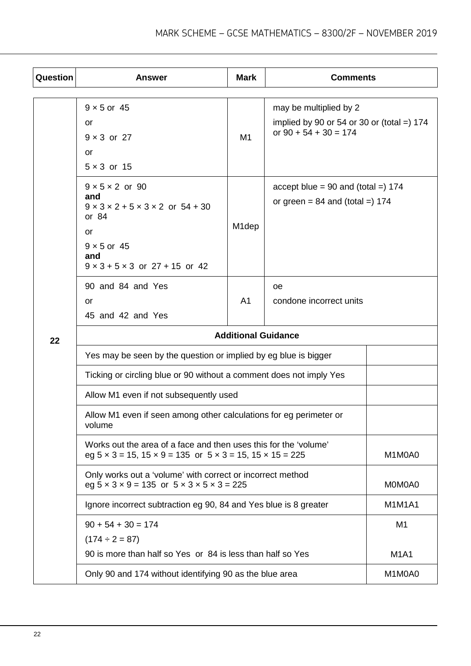| Question | <b>Answer</b>                                                                                                                                                                            | <b>Mark</b>        | <b>Comments</b>                                                                                   |                |  |
|----------|------------------------------------------------------------------------------------------------------------------------------------------------------------------------------------------|--------------------|---------------------------------------------------------------------------------------------------|----------------|--|
|          | $9 \times 5$ or 45<br>or<br>$9 \times 3$ or 27<br>or<br>$5 \times 3$ or 15                                                                                                               | M1                 | may be multiplied by 2<br>implied by 90 or 54 or 30 or (total =) $174$<br>or $90 + 54 + 30 = 174$ |                |  |
|          | $9 \times 5 \times 2$ or 90<br>and<br>$9 \times 3 \times 2 + 5 \times 3 \times 2$ or $54 + 30$<br>or 84<br>or<br>$9 \times 5$ or 45<br>and<br>$9 \times 3 + 5 \times 3$ or 27 + 15 or 42 | M <sub>1</sub> dep | accept blue = $90$ and (total =) 174<br>or green = $84$ and (total =) 174                         |                |  |
|          | 90 and 84 and Yes<br><b>oe</b><br>A <sub>1</sub><br>or<br>45 and 42 and Yes                                                                                                              |                    | condone incorrect units                                                                           |                |  |
| 22       | <b>Additional Guidance</b>                                                                                                                                                               |                    |                                                                                                   |                |  |
|          | Yes may be seen by the question or implied by eg blue is bigger                                                                                                                          |                    |                                                                                                   |                |  |
|          | Ticking or circling blue or 90 without a comment does not imply Yes                                                                                                                      |                    |                                                                                                   |                |  |
|          | Allow M1 even if not subsequently used                                                                                                                                                   |                    |                                                                                                   |                |  |
|          | Allow M1 even if seen among other calculations for eg perimeter or<br>volume                                                                                                             |                    |                                                                                                   |                |  |
|          | Works out the area of a face and then uses this for the 'volume'<br>eg $5 \times 3 = 15$ , $15 \times 9 = 135$ or $5 \times 3 = 15$ , $15 \times 15 = 225$                               |                    |                                                                                                   | M1M0A0         |  |
|          | Only works out a 'volume' with correct or incorrect method<br>eg $5 \times 3 \times 9 = 135$ or $5 \times 3 \times 5 \times 3 = 225$                                                     |                    |                                                                                                   | M0M0A0         |  |
|          | Ignore incorrect subtraction eg 90, 84 and Yes blue is 8 greater                                                                                                                         |                    |                                                                                                   | <b>M1M1A1</b>  |  |
|          | $90 + 54 + 30 = 174$                                                                                                                                                                     |                    |                                                                                                   | M <sub>1</sub> |  |
|          | $(174 \div 2 = 87)$                                                                                                                                                                      |                    |                                                                                                   |                |  |
|          | 90 is more than half so Yes or 84 is less than half so Yes                                                                                                                               |                    |                                                                                                   | <b>M1A1</b>    |  |
|          | Only 90 and 174 without identifying 90 as the blue area                                                                                                                                  |                    |                                                                                                   | M1M0A0         |  |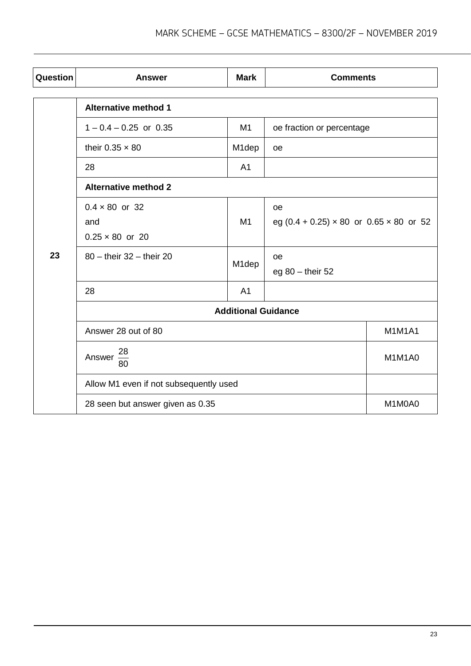| Question | <b>Answer</b>                                          | <b>Mark</b>    | <b>Comments</b>                                                    |               |  |
|----------|--------------------------------------------------------|----------------|--------------------------------------------------------------------|---------------|--|
|          | <b>Alternative method 1</b>                            |                |                                                                    |               |  |
|          | $1 - 0.4 - 0.25$ or 0.35                               | M1             | oe fraction or percentage                                          |               |  |
|          | their $0.35 \times 80$                                 | M1dep          | oe                                                                 |               |  |
|          | 28                                                     | A <sub>1</sub> |                                                                    |               |  |
|          | <b>Alternative method 2</b>                            |                |                                                                    |               |  |
|          | $0.4 \times 80$ or 32<br>and<br>$0.25 \times 80$ or 20 | M1             | <b>oe</b><br>eg $(0.4 + 0.25) \times 80$ or $0.65 \times 80$ or 52 |               |  |
| 23       | $80 -$ their $32 -$ their 20                           | M1dep          | oe<br>eg $80 -$ their 52                                           |               |  |
|          | 28                                                     | A <sub>1</sub> |                                                                    |               |  |
|          | <b>Additional Guidance</b>                             |                |                                                                    |               |  |
|          | Answer 28 out of 80                                    |                |                                                                    | <b>M1M1A1</b> |  |
|          | 28<br>Answer -<br>80                                   |                |                                                                    | M1M1A0        |  |
|          | Allow M1 even if not subsequently used                 |                |                                                                    |               |  |
|          | 28 seen but answer given as 0.35                       |                |                                                                    | M1M0A0        |  |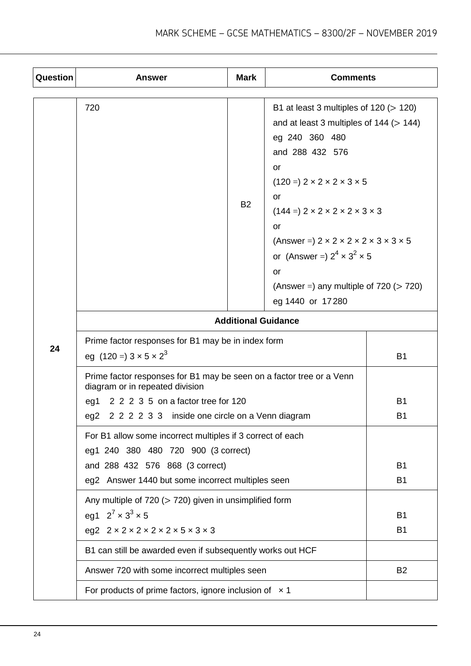| Question | <b>Answer</b>                                                                                                                                                                                                | Mark      | <b>Comments</b>                                                                                                                                                                                                                                                                                                                                                                                                                                                          |                             |
|----------|--------------------------------------------------------------------------------------------------------------------------------------------------------------------------------------------------------------|-----------|--------------------------------------------------------------------------------------------------------------------------------------------------------------------------------------------------------------------------------------------------------------------------------------------------------------------------------------------------------------------------------------------------------------------------------------------------------------------------|-----------------------------|
|          | 720                                                                                                                                                                                                          | <b>B2</b> | B1 at least 3 multiples of $120 (> 120)$<br>and at least 3 multiples of $144$ ( $> 144$ )<br>eg 240 360 480<br>and 288 432 576<br>or<br>$(120 =) 2 \times 2 \times 2 \times 3 \times 5$<br>or<br>$(144 =) 2 \times 2 \times 2 \times 2 \times 3 \times 3$<br>or<br>(Answer = $)$ 2 $\times$ 2 $\times$ 2 $\times$ 2 $\times$ 3 $\times$ 3 $\times$ 5<br>or (Answer = $2^4 \times 3^2 \times 5$<br>or<br>(Answer =) any multiple of $720$ ( $> 720$ )<br>eg 1440 or 17280 |                             |
|          | <b>Additional Guidance</b>                                                                                                                                                                                   |           |                                                                                                                                                                                                                                                                                                                                                                                                                                                                          |                             |
| 24       | Prime factor responses for B1 may be in index form<br>eg (120 =) $3 \times 5 \times 2^3$                                                                                                                     |           |                                                                                                                                                                                                                                                                                                                                                                                                                                                                          | <b>B1</b>                   |
|          | Prime factor responses for B1 may be seen on a factor tree or a Venn<br>diagram or in repeated division<br>2 2 2 3 5 on a factor tree for 120<br>eg1<br>eg2<br>2 2 2 3 3 inside one circle on a Venn diagram |           |                                                                                                                                                                                                                                                                                                                                                                                                                                                                          | <b>B1</b><br>B <sub>1</sub> |
|          | For B1 allow some incorrect multiples if 3 correct of each<br>eg1 240 380 480 720 900 (3 correct)<br>and 288 432 576 868 (3 correct)                                                                         |           | <b>B1</b>                                                                                                                                                                                                                                                                                                                                                                                                                                                                |                             |
|          | eg2 Answer 1440 but some incorrect multiples seen                                                                                                                                                            |           |                                                                                                                                                                                                                                                                                                                                                                                                                                                                          | <b>B1</b>                   |
|          | Any multiple of 720 (> 720) given in unsimplified form<br>eg1 $2^7 \times 3^3 \times 5$<br>eg2 $2 \times 2 \times 2 \times 2 \times 2 \times 5 \times 3 \times 3$                                            |           |                                                                                                                                                                                                                                                                                                                                                                                                                                                                          | B <sub>1</sub><br><b>B1</b> |
|          | B1 can still be awarded even if subsequently works out HCF                                                                                                                                                   |           |                                                                                                                                                                                                                                                                                                                                                                                                                                                                          |                             |
|          | Answer 720 with some incorrect multiples seen                                                                                                                                                                |           |                                                                                                                                                                                                                                                                                                                                                                                                                                                                          | <b>B2</b>                   |
|          | For products of prime factors, ignore inclusion of $\times$ 1                                                                                                                                                |           |                                                                                                                                                                                                                                                                                                                                                                                                                                                                          |                             |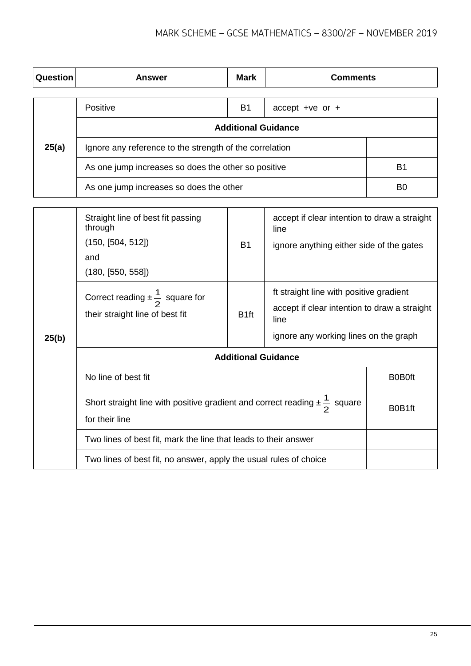| Question | <b>Answer</b>                                           | <b>Mark</b> | <b>Comments</b>    |                |  |
|----------|---------------------------------------------------------|-------------|--------------------|----------------|--|
|          | Positive                                                | <b>B1</b>   | accept + $ve$ or + |                |  |
|          | <b>Additional Guidance</b>                              |             |                    |                |  |
| 25(a)    | Ignore any reference to the strength of the correlation |             |                    |                |  |
|          | As one jump increases so does the other so positive     |             |                    | B <sub>1</sub> |  |
|          | As one jump increases so does the other                 |             |                    | B0             |  |

| 25(b) | Straight line of best fit passing<br>through<br>(150, [504, 512])<br>and<br>(180, [550, 558])             | <b>B1</b>        | accept if clear intention to draw a straight<br>line<br>ignore anything either side of the gates                                         |        |
|-------|-----------------------------------------------------------------------------------------------------------|------------------|------------------------------------------------------------------------------------------------------------------------------------------|--------|
|       | Correct reading $\pm \frac{1}{2}$ square for<br>their straight line of best fit                           | B <sub>1ft</sub> | ft straight line with positive gradient<br>accept if clear intention to draw a straight<br>line<br>ignore any working lines on the graph |        |
|       | <b>Additional Guidance</b>                                                                                |                  |                                                                                                                                          |        |
|       | No line of best fit                                                                                       | <b>B0B0ft</b>    |                                                                                                                                          |        |
|       | Short straight line with positive gradient and correct reading $\pm \frac{1}{2}$ square<br>for their line |                  |                                                                                                                                          | B0B1ft |
|       | Two lines of best fit, mark the line that leads to their answer                                           |                  |                                                                                                                                          |        |
|       | Two lines of best fit, no answer, apply the usual rules of choice                                         |                  |                                                                                                                                          |        |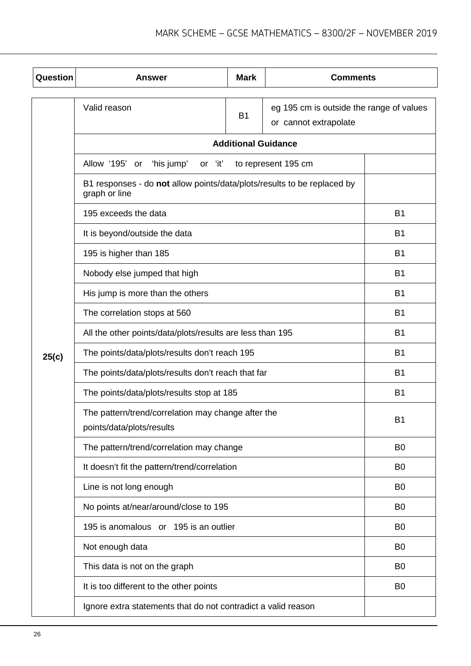| <b>Question</b> | Answer                                                                                   | <b>Mark</b>                | <b>Comments</b>                                                   |                |
|-----------------|------------------------------------------------------------------------------------------|----------------------------|-------------------------------------------------------------------|----------------|
|                 | Valid reason                                                                             | <b>B1</b>                  | eg 195 cm is outside the range of values<br>or cannot extrapolate |                |
|                 |                                                                                          | <b>Additional Guidance</b> |                                                                   |                |
|                 | 'his jump'<br>Allow '195'<br>or 'it'<br>to represent 195 cm<br>or                        |                            |                                                                   |                |
|                 | B1 responses - do not allow points/data/plots/results to be replaced by<br>graph or line |                            |                                                                   |                |
|                 | 195 exceeds the data                                                                     |                            |                                                                   | <b>B1</b>      |
|                 | It is beyond/outside the data                                                            |                            |                                                                   | <b>B1</b>      |
|                 | 195 is higher than 185                                                                   |                            |                                                                   | <b>B1</b>      |
|                 | Nobody else jumped that high                                                             |                            |                                                                   | <b>B1</b>      |
|                 | His jump is more than the others                                                         |                            |                                                                   | B <sub>1</sub> |
|                 | The correlation stops at 560                                                             |                            |                                                                   | B <sub>1</sub> |
|                 | All the other points/data/plots/results are less than 195                                |                            |                                                                   | <b>B1</b>      |
| 25(c)           | The points/data/plots/results don't reach 195                                            |                            |                                                                   | <b>B1</b>      |
|                 | The points/data/plots/results don't reach that far                                       |                            |                                                                   | <b>B1</b>      |
|                 | The points/data/plots/results stop at 185                                                | <b>B1</b>                  |                                                                   |                |
|                 | The pattern/trend/correlation may change after the<br>points/data/plots/results          |                            |                                                                   | B <sub>1</sub> |
|                 | The pattern/trend/correlation may change                                                 |                            |                                                                   | B <sub>0</sub> |
|                 | It doesn't fit the pattern/trend/correlation                                             |                            |                                                                   | B <sub>0</sub> |
|                 | Line is not long enough                                                                  |                            |                                                                   | B <sub>0</sub> |
|                 | No points at/near/around/close to 195                                                    |                            |                                                                   | B <sub>0</sub> |
|                 | 195 is anomalous or 195 is an outlier                                                    |                            |                                                                   | B <sub>0</sub> |
|                 | Not enough data                                                                          |                            |                                                                   | B <sub>0</sub> |
|                 | This data is not on the graph                                                            |                            |                                                                   | B <sub>0</sub> |
|                 | It is too different to the other points                                                  |                            |                                                                   | B <sub>0</sub> |
|                 | Ignore extra statements that do not contradict a valid reason                            |                            |                                                                   |                |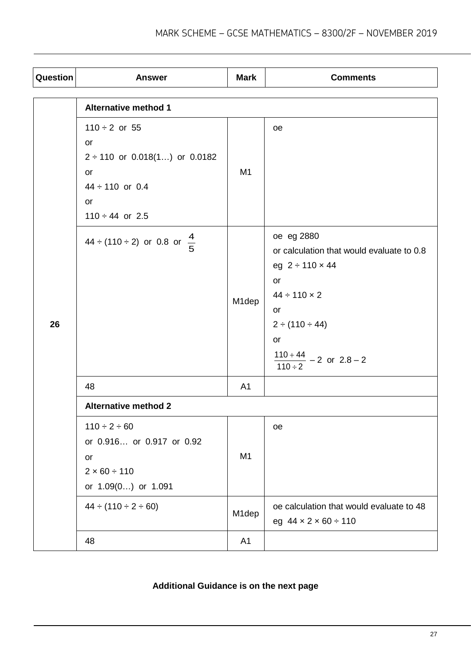| Question | <b>Answer</b>                                                    | <b>Mark</b>    | <b>Comments</b>                                                                      |  |  |
|----------|------------------------------------------------------------------|----------------|--------------------------------------------------------------------------------------|--|--|
|          | <b>Alternative method 1</b>                                      |                |                                                                                      |  |  |
|          | $110 \div 2$ or 55<br>or                                         |                | oe                                                                                   |  |  |
|          | $2 \div 110$ or 0.018(1) or 0.0182<br>or<br>$44 \div 110$ or 0.4 | M <sub>1</sub> |                                                                                      |  |  |
|          | or<br>$110 \div 44$ or 2.5                                       |                |                                                                                      |  |  |
|          | $44 \div (110 \div 2)$ or 0.8 or $\frac{4}{5}$                   |                | oe eg 2880<br>or calculation that would evaluate to 0.8<br>eg $2 \div 110 \times 44$ |  |  |
| 26       |                                                                  | M1dep          | or<br>$44 \div 110 \times 2$<br>or                                                   |  |  |
|          |                                                                  |                | $2 \div (110 \div 44)$<br>or                                                         |  |  |
|          |                                                                  |                | $\frac{110+44}{110 \div 2} - 2$ or $2.8-2$                                           |  |  |
|          | 48                                                               | A <sub>1</sub> |                                                                                      |  |  |
|          | <b>Alternative method 2</b>                                      |                |                                                                                      |  |  |
|          | $110 \div 2 \div 60$<br>or 0.916 or 0.917 or 0.92                |                | oe                                                                                   |  |  |
|          | or<br>$2 \times 60 \div 110$<br>or 1.09(0) or 1.091              | M <sub>1</sub> |                                                                                      |  |  |
|          | $44 \div (110 \div 2 \div 60)$                                   | M1dep          | oe calculation that would evaluate to 48<br>eg $44 \times 2 \times 60 \div 110$      |  |  |
|          | 48                                                               | A1             |                                                                                      |  |  |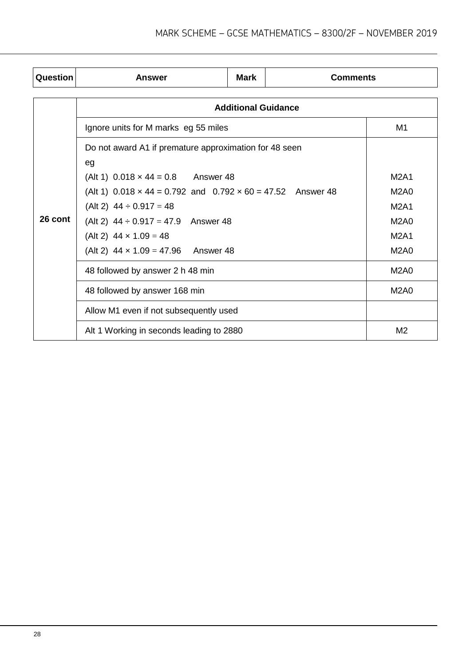| Question | <b>Answer</b>                                                                                                                                                                                                          | Mark                       | <b>Comments</b> |                                           |
|----------|------------------------------------------------------------------------------------------------------------------------------------------------------------------------------------------------------------------------|----------------------------|-----------------|-------------------------------------------|
|          |                                                                                                                                                                                                                        | <b>Additional Guidance</b> |                 |                                           |
|          | Ignore units for M marks eg 55 miles                                                                                                                                                                                   |                            |                 | M1                                        |
|          | Do not award A1 if premature approximation for 48 seen<br>eg<br>(Alt 1) $0.018 \times 44 = 0.8$ Answer 48<br>(Alt 1) $0.018 \times 44 = 0.792$ and $0.792 \times 60 = 47.52$ Answer 48<br>(Alt 2) $44 \div 0.917 = 48$ |                            |                 | <b>M2A1</b><br><b>M2A0</b><br><b>M2A1</b> |
| 26 cont  | (Alt 2) $44 \div 0.917 = 47.9$ Answer 48                                                                                                                                                                               |                            |                 | <b>M2A0</b>                               |
|          | (Alt 2) $44 \times 1.09 = 48$                                                                                                                                                                                          |                            |                 | <b>M2A1</b>                               |
|          | (Alt 2) $44 \times 1.09 = 47.96$ Answer 48                                                                                                                                                                             |                            |                 | <b>M2A0</b>                               |
|          | 48 followed by answer 2 h 48 min                                                                                                                                                                                       |                            |                 | M <sub>2</sub> A <sub>0</sub>             |
|          | 48 followed by answer 168 min                                                                                                                                                                                          |                            |                 | <b>M2A0</b>                               |
|          | Allow M1 even if not subsequently used                                                                                                                                                                                 |                            |                 |                                           |
|          | Alt 1 Working in seconds leading to 2880                                                                                                                                                                               |                            |                 | M <sub>2</sub>                            |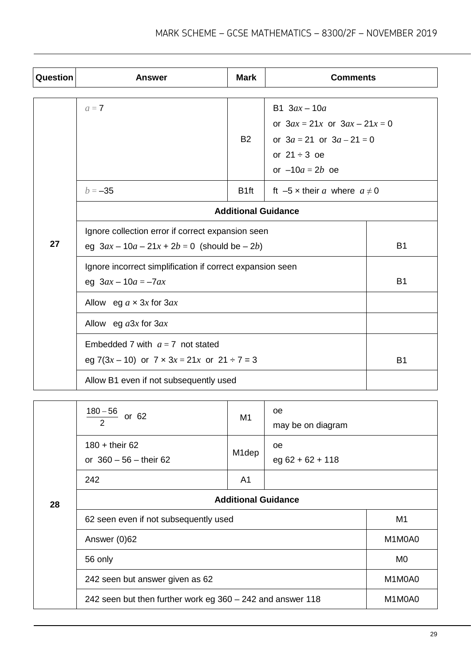| <b>Question</b> | <b>Answer</b>                                                                                         | <b>Mark</b>                                                 | <b>Comments</b>                                                                                                                                                           |           |
|-----------------|-------------------------------------------------------------------------------------------------------|-------------------------------------------------------------|---------------------------------------------------------------------------------------------------------------------------------------------------------------------------|-----------|
|                 | $a=7$<br>$b = -35$                                                                                    | <b>B2</b><br>B <sub>1ft</sub><br><b>Additional Guidance</b> | B1 $3ax - 10a$<br>or $3ax = 21x$ or $3ax - 21x = 0$<br>or $3a = 21$ or $3a - 21 = 0$<br>or $21 \div 3$ oe<br>or $-10a = 2b$ oe<br>ft $-5 \times$ their a where $a \neq 0$ |           |
| 27              | Ignore collection error if correct expansion seen<br>eg $3ax - 10a - 21x + 2b = 0$ (should be $-2b$ ) |                                                             |                                                                                                                                                                           | <b>B1</b> |
|                 | Ignore incorrect simplification if correct expansion seen<br>eg $3ax - 10a = -7ax$                    |                                                             |                                                                                                                                                                           | <b>B1</b> |
|                 | Allow eg $a \times 3x$ for $3ax$                                                                      |                                                             |                                                                                                                                                                           |           |
|                 | Allow eg $a3x$ for $3ax$                                                                              |                                                             |                                                                                                                                                                           |           |
|                 | Embedded 7 with $a = 7$ not stated<br>eg 7(3x – 10) or 7 $\times$ 3x = 21x or 21 ÷ 7 = 3              |                                                             |                                                                                                                                                                           | <b>B1</b> |
|                 | Allow B1 even if not subsequently used                                                                |                                                             |                                                                                                                                                                           |           |
|                 | $180 - 56$<br>or 62<br>2                                                                              | M <sub>1</sub>                                              | oе<br>may be on diagram                                                                                                                                                   |           |
|                 | $180 +$ their 62<br>or $360 - 56$ - their 62                                                          | M <sub>1</sub> dep                                          | oe<br>$eg 62 + 62 + 118$                                                                                                                                                  |           |
|                 | 242                                                                                                   | A1                                                          |                                                                                                                                                                           |           |
| 28              |                                                                                                       | <b>Additional Guidance</b>                                  |                                                                                                                                                                           |           |
|                 | 62 seen even if not subsequently used                                                                 |                                                             |                                                                                                                                                                           | M1        |

Answer (0)62 M1M0A0

242 seen but answer given as 62 M1M0A0

242 seen but then further work eg  $360 - 242$  and answer 118 M1M0A0

56 only MO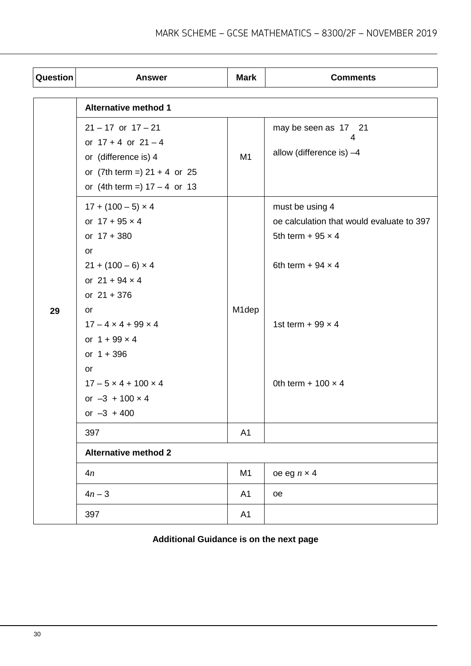| Question | <b>Answer</b>                                                                                                                                 | <b>Mark</b>    | <b>Comments</b>                                                                                                      |
|----------|-----------------------------------------------------------------------------------------------------------------------------------------------|----------------|----------------------------------------------------------------------------------------------------------------------|
|          | <b>Alternative method 1</b>                                                                                                                   |                |                                                                                                                      |
|          | $21 - 17$ or $17 - 21$<br>or $17 + 4$ or $21 - 4$<br>or (difference is) 4<br>or $(7th term =) 21 + 4$ or 25<br>or $(4th term =) 17 - 4$ or 13 | M <sub>1</sub> | may be seen as 17 21<br>4<br>allow (difference is) $-4$                                                              |
|          | $17 + (100 - 5) \times 4$<br>or $17 + 95 \times 4$<br>or $17 + 380$<br>or<br>$21 + (100 - 6) \times 4$<br>or $21 + 94 \times 4$               |                | must be using 4<br>oe calculation that would evaluate to 397<br>5th term + 95 $\times$ 4<br>6th term + 94 $\times$ 4 |
| 29       | or $21 + 376$<br>or<br>$17 - 4 \times 4 + 99 \times 4$<br>or $1 + 99 \times 4$<br>or $1 + 396$                                                | M1dep          | 1st term + 99 $\times$ 4                                                                                             |
|          | or<br>$17 - 5 \times 4 + 100 \times 4$<br>or $-3 + 100 \times 4$<br>or $-3 + 400$                                                             |                | 0th term + $100 \times 4$                                                                                            |
|          | 397                                                                                                                                           | A <sub>1</sub> |                                                                                                                      |
|          | <b>Alternative method 2</b>                                                                                                                   |                |                                                                                                                      |
|          | 4n                                                                                                                                            | M <sub>1</sub> | oe eg $n \times 4$                                                                                                   |
|          | $4n - 3$                                                                                                                                      | A1             | oe                                                                                                                   |
|          | 397                                                                                                                                           | A1             |                                                                                                                      |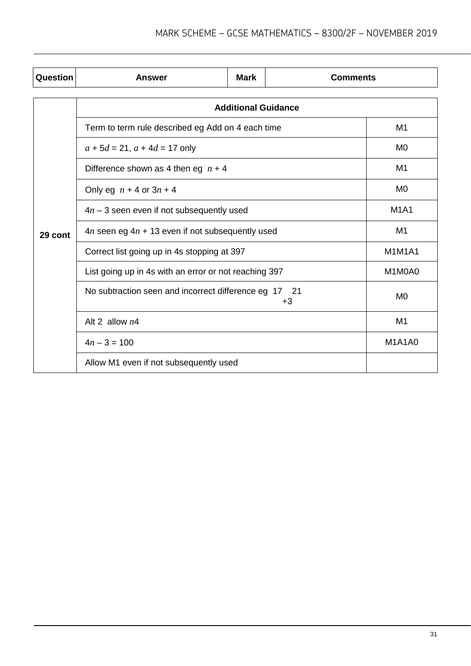| Question | Answer                                                      | <b>Mark</b>                | <b>Comments</b> |                |
|----------|-------------------------------------------------------------|----------------------------|-----------------|----------------|
|          |                                                             | <b>Additional Guidance</b> |                 |                |
|          | Term to term rule described eg Add on 4 each time           |                            |                 | M1             |
|          | $a + 5d = 21$ , $a + 4d = 17$ only                          |                            |                 | M <sub>0</sub> |
|          | Difference shown as 4 then eg $n + 4$                       |                            |                 | M1             |
|          | Only eg $n + 4$ or $3n + 4$                                 | M <sub>0</sub>             |                 |                |
|          | $4n - 3$ seen even if not subsequently used                 |                            |                 | <b>M1A1</b>    |
| 29 cont  | $4n$ seen eg $4n + 13$ even if not subsequently used        |                            |                 | M1             |
|          | Correct list going up in 4s stopping at 397                 |                            |                 | <b>M1M1A1</b>  |
|          | List going up in 4s with an error or not reaching 397       |                            |                 | M1M0A0         |
|          | No subtraction seen and incorrect difference eg 17 21<br>+3 |                            |                 | M0             |
|          | Alt 2 allow $n4$                                            |                            |                 | M <sub>1</sub> |
|          | $4n - 3 = 100$                                              |                            |                 | <b>M1A1A0</b>  |
|          | Allow M1 even if not subsequently used                      |                            |                 |                |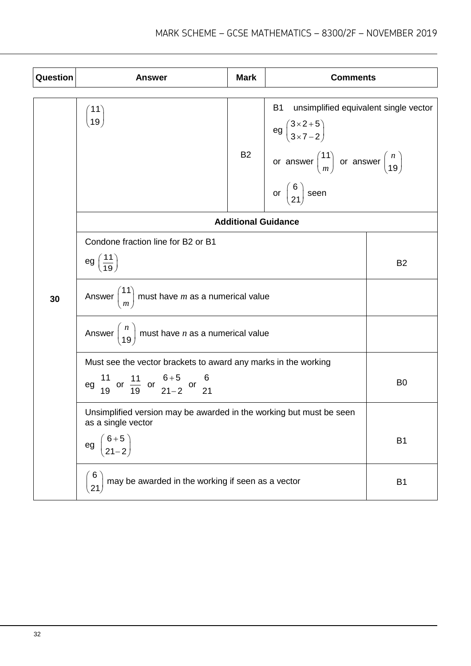| Question | <b>Answer</b>                                                                             | <b>Mark</b> | <b>Comments</b>                                                                                                                                                             |                |
|----------|-------------------------------------------------------------------------------------------|-------------|-----------------------------------------------------------------------------------------------------------------------------------------------------------------------------|----------------|
|          | $\begin{pmatrix} 11 \ 19 \end{pmatrix}$                                                   | <b>B2</b>   | <b>B1</b><br>unsimplified equivalent single vector<br>eg $\binom{3\times2+5}{3\times7-2}$<br>or answer $\binom{11}{m}$ or answer $\binom{n}{19}$<br>or $\binom{6}{21}$ seen |                |
|          | <b>Additional Guidance</b>                                                                |             |                                                                                                                                                                             |                |
|          | Condone fraction line for B2 or B1                                                        |             |                                                                                                                                                                             |                |
|          | eg $\left(\frac{11}{19}\right)$                                                           |             |                                                                                                                                                                             | <b>B2</b>      |
| 30       | Answer $\binom{11}{m}$ must have <i>m</i> as a numerical value                            |             |                                                                                                                                                                             |                |
|          | Answer $\begin{pmatrix} n \\ 19 \end{pmatrix}$ must have <i>n</i> as a numerical value    |             |                                                                                                                                                                             |                |
|          | Must see the vector brackets to award any marks in the working                            |             |                                                                                                                                                                             |                |
|          | eg $\frac{11}{19}$ or $\frac{11}{19}$ or $\frac{6+5}{21-2}$ or $\frac{6}{21}$             |             |                                                                                                                                                                             | B <sub>0</sub> |
|          | Unsimplified version may be awarded in the working but must be seen<br>as a single vector |             |                                                                                                                                                                             |                |
|          | $\begin{pmatrix} 6+5 \\ 21-2 \end{pmatrix}$<br>eg                                         |             |                                                                                                                                                                             | B <sub>1</sub> |
|          | may be awarded in the working if seen as a vector<br>21                                   |             |                                                                                                                                                                             | B <sub>1</sub> |